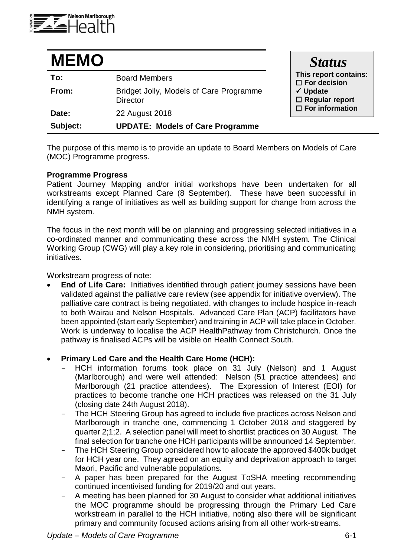

| <b>MEMO</b> |                                                            | <b>Status</b>                                   |
|-------------|------------------------------------------------------------|-------------------------------------------------|
| To:         | <b>Board Members</b>                                       | This report contains:<br>$\square$ For decision |
| From:       | Bridget Jolly, Models of Care Programme<br><b>Director</b> | $\checkmark$ Update<br>$\Box$ Regular report    |
| Date:       | 22 August 2018                                             | $\square$ For information                       |
| Subject:    | <b>UPDATE: Models of Care Programme</b>                    |                                                 |

The purpose of this memo is to provide an update to Board Members on Models of Care (MOC) Programme progress.

### **Programme Progress**

Patient Journey Mapping and/or initial workshops have been undertaken for all workstreams except Planned Care (8 September). These have been successful in identifying a range of initiatives as well as building support for change from across the NMH system.

The focus in the next month will be on planning and progressing selected initiatives in a co-ordinated manner and communicating these across the NMH system. The Clinical Working Group (CWG) will play a key role in considering, prioritising and communicating initiatives.

Workstream progress of note:

 **End of Life Care:** Initiatives identified through patient journey sessions have been validated against the palliative care review (see appendix for initiative overview). The palliative care contract is being negotiated, with changes to include hospice in-reach to both Wairau and Nelson Hospitals. Advanced Care Plan (ACP) facilitators have been appointed (start early September) and training in ACP will take place in October. Work is underway to localise the ACP HealthPathway from Christchurch. Once the pathway is finalised ACPs will be visible on Health Connect South.

# **Primary Led Care and the Health Care Home (HCH):**

- HCH information forums took place on 31 July (Nelson) and 1 August (Marlborough) and were well attended: Nelson (51 practice attendees) and Marlborough (21 practice attendees). The Expression of Interest (EOI) for practices to become tranche one HCH practices was released on the 31 July (closing date 24th August 2018).
- The HCH Steering Group has agreed to include five practices across Nelson and Marlborough in tranche one, commencing 1 October 2018 and staggered by quarter 2;1;2. A selection panel will meet to shortlist practices on 30 August. The final selection for tranche one HCH participants will be announced 14 September.
- The HCH Steering Group considered how to allocate the approved \$400k budget for HCH year one. They agreed on an equity and deprivation approach to target Maori, Pacific and vulnerable populations.
- A paper has been prepared for the August ToSHA meeting recommending continued incentivised funding for 2019/20 and out years.
- A meeting has been planned for 30 August to consider what additional initiatives the MOC programme should be progressing through the Primary Led Care workstream in parallel to the HCH initiative, noting also there will be significant primary and community focused actions arising from all other work-streams.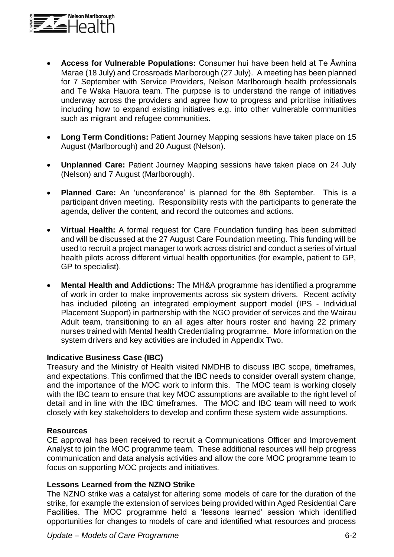

- **Access for Vulnerable Populations:** Consumer hui have been held at Te Āwhina Marae (18 July) and Crossroads Marlborough (27 July). A meeting has been planned for 7 September with Service Providers, Nelson Marlborough health professionals and Te Waka Hauora team. The purpose is to understand the range of initiatives underway across the providers and agree how to progress and prioritise initiatives including how to expand existing initiatives e.g. into other vulnerable communities such as migrant and refugee communities.
- **Long Term Conditions:** Patient Journey Mapping sessions have taken place on 15 August (Marlborough) and 20 August (Nelson).
- **Unplanned Care:** Patient Journey Mapping sessions have taken place on 24 July (Nelson) and 7 August (Marlborough).
- **Planned Care:** An 'unconference' is planned for the 8th September. This is a participant driven meeting. Responsibility rests with the participants to generate the agenda, deliver the content, and record the outcomes and actions.
- **Virtual Health:** A formal request for Care Foundation funding has been submitted and will be discussed at the 27 August Care Foundation meeting. This funding will be used to recruit a project manager to work across district and conduct a series of virtual health pilots across different virtual health opportunities (for example, patient to GP, GP to specialist).
- **Mental Health and Addictions:** The MH&A programme has identified a programme of work in order to make improvements across six system drivers. Recent activity has included piloting an integrated employment support model (IPS - Individual Placement Support) in partnership with the NGO provider of services and the Wairau Adult team, transitioning to an all ages after hours roster and having 22 primary nurses trained with Mental health Credentialing programme. More information on the system drivers and key activities are included in Appendix Two.

# **Indicative Business Case (IBC)**

Treasury and the Ministry of Health visited NMDHB to discuss IBC scope, timeframes, and expectations. This confirmed that the IBC needs to consider overall system change, and the importance of the MOC work to inform this. The MOC team is working closely with the IBC team to ensure that key MOC assumptions are available to the right level of detail and in line with the IBC timeframes. The MOC and IBC team will need to work closely with key stakeholders to develop and confirm these system wide assumptions.

### **Resources**

CE approval has been received to recruit a Communications Officer and Improvement Analyst to join the MOC programme team. These additional resources will help progress communication and data analysis activities and allow the core MOC programme team to focus on supporting MOC projects and initiatives.

### **Lessons Learned from the NZNO Strike**

The NZNO strike was a catalyst for altering some models of care for the duration of the strike, for example the extension of services being provided within Aged Residential Care Facilities. The MOC programme held a 'lessons learned' session which identified opportunities for changes to models of care and identified what resources and process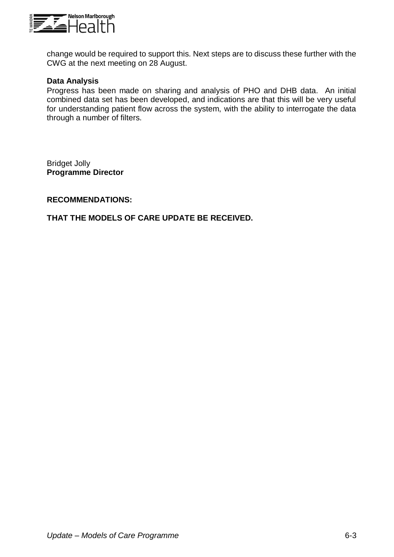

change would be required to support this. Next steps are to discuss these further with the CWG at the next meeting on 28 August.

## **Data Analysis**

Progress has been made on sharing and analysis of PHO and DHB data. An initial combined data set has been developed, and indications are that this will be very useful for understanding patient flow across the system, with the ability to interrogate the data through a number of filters.

Bridget Jolly **Programme Director**

## **RECOMMENDATIONS:**

## **THAT THE MODELS OF CARE UPDATE BE RECEIVED.**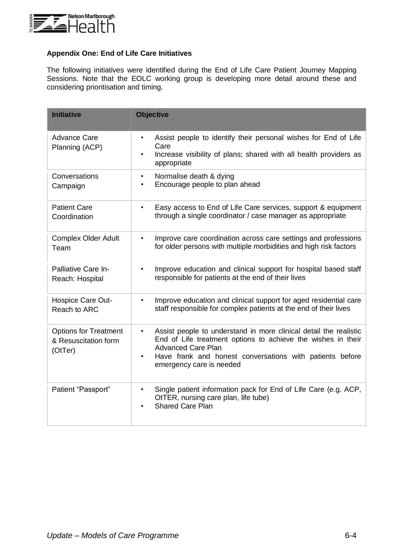

### **Appendix One: End of Life Care Initiatives**

The following initiatives were identified during the End of Life Care Patient Journey Mapping Sessions. Note that the EOLC working group is developing more detail around these and considering prioritisation and timing.

| <b>Initiative</b>                                               | <b>Objective</b>                                                                                                                                                                                                                                                                 |
|-----------------------------------------------------------------|----------------------------------------------------------------------------------------------------------------------------------------------------------------------------------------------------------------------------------------------------------------------------------|
| <b>Advance Care</b><br>Planning (ACP)                           | Assist people to identify their personal wishes for End of Life<br>$\bullet$<br>Care<br>Increase visibility of plans; shared with all health providers as<br>appropriate                                                                                                         |
| Conversations<br>Campaign                                       | Normalise death & dying<br>$\bullet$<br>Encourage people to plan ahead<br>$\bullet$                                                                                                                                                                                              |
| <b>Patient Care</b><br>Coordination                             | Easy access to End of Life Care services, support & equipment<br>$\bullet$<br>through a single coordinator / case manager as appropriate                                                                                                                                         |
| <b>Complex Older Adult</b><br>Team                              | Improve care coordination across care settings and professions<br>$\bullet$<br>for older persons with multiple morbidities and high risk factors                                                                                                                                 |
| Palliative Care In-<br>Reach: Hospital                          | Improve education and clinical support for hospital based staff<br>$\bullet$<br>responsible for patients at the end of their lives                                                                                                                                               |
| Hospice Care Out-<br>Reach to ARC                               | Improve education and clinical support for aged residential care<br>$\bullet$<br>staff responsible for complex patients at the end of their lives                                                                                                                                |
| <b>Options for Treatment</b><br>& Resuscitation form<br>(OtTer) | Assist people to understand in more clinical detail the realistic<br>$\bullet$<br>End of Life treatment options to achieve the wishes in their<br><b>Advanced Care Plan</b><br>Have frank and honest conversations with patients before<br>$\bullet$<br>emergency care is needed |
| Patient "Passport"                                              | Single patient information pack for End of Life Care (e.g. ACP,<br>$\bullet$<br>OtTER, nursing care plan, life tube)<br><b>Shared Care Plan</b><br>$\bullet$                                                                                                                     |